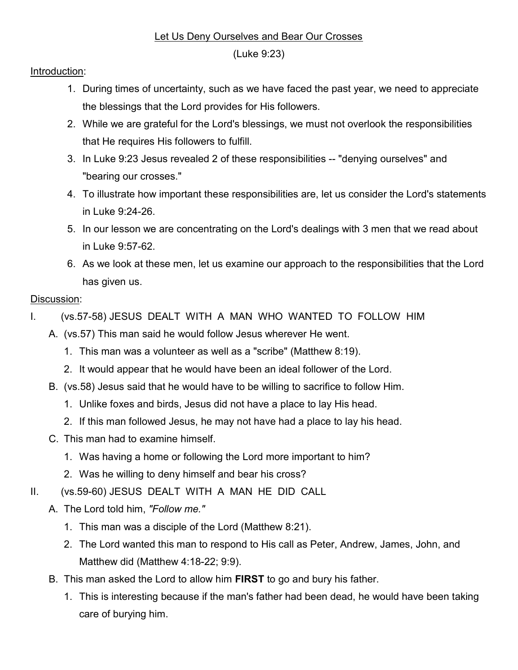## Let Us Deny Ourselves and Bear Our Crosses

(Luke 9:23)

## Introduction:

- 1. During times of uncertainty, such as we have faced the past year, we need to appreciate the blessings that the Lord provides for His followers.
- 2. While we are grateful for the Lord's blessings, we must not overlook the responsibilities that He requires His followers to fulfill.
- 3. In Luke 9:23 Jesus revealed 2 of these responsibilities -- "denying ourselves" and "bearing our crosses."
- 4. To illustrate how important these responsibilities are, let us consider the Lord's statements in Luke 9:24-26.
- 5. In our lesson we are concentrating on the Lord's dealings with 3 men that we read about in Luke 9:57-62.
- 6. As we look at these men, let us examine our approach to the responsibilities that the Lord has given us.

## Discussion:

- I. (vs.57-58) JESUS DEALT WITH A MAN WHO WANTED TO FOLLOW HIM
	- A. (vs.57) This man said he would follow Jesus wherever He went.
		- 1. This man was a volunteer as well as a "scribe" (Matthew 8:19).
		- 2. It would appear that he would have been an ideal follower of the Lord.
	- B. (vs.58) Jesus said that he would have to be willing to sacrifice to follow Him.
		- 1. Unlike foxes and birds, Jesus did not have a place to lay His head.
		- 2. If this man followed Jesus, he may not have had a place to lay his head.
	- C. This man had to examine himself.
		- 1. Was having a home or following the Lord more important to him?
		- 2. Was he willing to deny himself and bear his cross?
- II. (vs.59-60) JESUS DEALT WITH A MAN HE DID CALL
	- A. The Lord told him, "Follow me."
		- 1. This man was a disciple of the Lord (Matthew 8:21).
		- 2. The Lord wanted this man to respond to His call as Peter, Andrew, James, John, and Matthew did (Matthew 4:18-22; 9:9).
	- B. This man asked the Lord to allow him FIRST to go and bury his father.
		- 1. This is interesting because if the man's father had been dead, he would have been taking care of burying him.